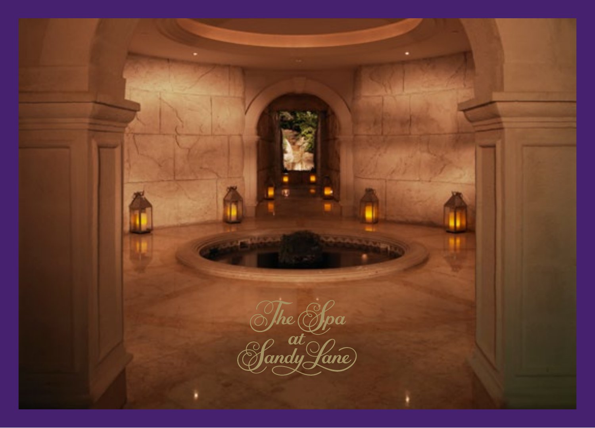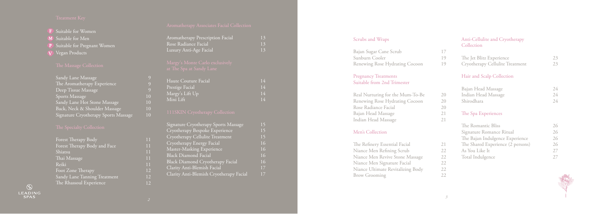**F** Suitable for Women

M Suitable for Men

- P Suitable for Pregnant Women
- $\mathbf{V}$  Vegan Products

| Sandy Lane Massage                   |
|--------------------------------------|
| The Aromatherapy Experience          |
| Deep Tissue Massage                  |
| Sports Massage                       |
| Sandy Lane Hot Stone Massage         |
| Back, Neck & Shoulder Massage        |
| Signature Cryotherapy Sports Massage |

| Forest Therapy Body          |
|------------------------------|
| Forest Therapy Body and Face |
| Shiatsu                      |
| Thai Massage                 |
| Reiki                        |
| Foot Zone Therapy            |
| Sandy Lane Tanning Treatment |
| The Rhassoul Experience      |

| Aromatherapy Prescription Facial | 13 |
|----------------------------------|----|
| Rose Radiance Facial             | 13 |
| Luxury Anti-Age Facial           | 13 |
| Margy's Monte Carlo exclusively  |    |
| at The Spa at Sandy Lane         |    |
| Haute Couture Facial             | 14 |
| Prestige Facial                  | 14 |
| Margy's Lift Up                  | 14 |
| Mini Lift                        | 14 |

| Signature Cryotherapy Sports Massage    | 15 |
|-----------------------------------------|----|
| Cryotherapy Bespoke Experience          | 15 |
| Cryotherapy Cellulite Treatment         | 15 |
| Cryotherapy Energy Facial               | 16 |
| Master-Masking Experience               | 16 |
| <b>Black Diamond Facial</b>             | 16 |
| <b>Black Diamond Cryotherapy Facial</b> | 16 |
| Clarity Anti-Blemish Facial             | 17 |
| Clarity Anti-Blemish Cryotherapy Facial | 17 |

12 12

### Scrubs and Wraps

### Pregnancy Treatments Suitable from 2nd Trimester

| Real Nurturing for the Mum-To-Be |  |
|----------------------------------|--|
| Renewing Rose Hydrating Cocoon   |  |
| Rose Radiance Facial             |  |
| Bajan Head Massage               |  |
| Indian Head Massage              |  |

### Men's Collection

The Refinery Essential Facial Niance Men Refining Scrub Niance Men Revive Stone Massage Niance Men Signature Facial Niance Ultimate Revitalizing Body Brow Grooming

 $\circledS$ LEADING<br>SPAS

| Bajan Sugar Cane Scrub         |    |
|--------------------------------|----|
| Sunburn Cooler                 | 19 |
| Renewing Rose Hydrating Cocoon | 19 |

### Anti-Cellulite and Cryotherapy Collection

### Hair and Scalp Collection

### The Spa Experiences

| The Jet Blitz Experience        | 23 |
|---------------------------------|----|
| Cryotherapy Cellulite Treatment | 23 |

| Bajan Head Massage  | 24 |
|---------------------|----|
| Indian Head Massage | 24 |
| Shirodhara          | 24 |

| The Romantic Bliss                | 26 |
|-----------------------------------|----|
| Signature Romance Ritual          | 26 |
| The Bajan Indulgence Experience   | 26 |
| The Shared Experience (2 persons) | 26 |
| As You Like It                    | 27 |
| Total Indulgence                  | 27 |

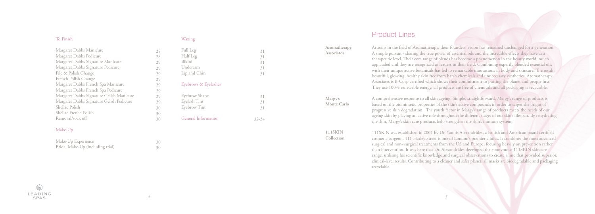### To Finish

| Margaret Dabbs Manicure                  |
|------------------------------------------|
| Margaret Dabbs Pedicure                  |
| Margaret Dabbs Signature Manicure        |
| Margaret Dabbs Signature Pedicure        |
| File & Polish Change                     |
| French Polish Change                     |
| Margaret Dabbs French Spa Manicure       |
| Margaret Dabbs French Spa Pedicure       |
| Margaret Dabbs Signature Gelish Manicure |
| Margaret Dabbs Signature Gelish Pedicure |
| Shellac Polish                           |
| Shellac French Polish                    |
| Removal/soak off                         |

### Make-Up

| Make-Up Experience               |  |
|----------------------------------|--|
| Bridal Make-Up (including trial) |  |

### Waxing

| Full Leg             | 31 |  |
|----------------------|----|--|
| Half Leg             | 31 |  |
| Bikini               | 31 |  |
| Underarm             | 31 |  |
| Lip and Chin         | 31 |  |
| Eyebrows & Eyelashes |    |  |
| Eyebrow Shape        | 31 |  |
| Eyelash Tint         | 31 |  |
| Eyebrow Tint         | 31 |  |
| General Information  |    |  |

30 30

# Product Lines

Artisans in the field of Aromatherapy, their founders' vision has remained unchanged for a generation. A simple pursuit - sharing the true power of essential oils and the incredible effects they have at a therapeutic level. Their core range of blends has become a phenomenon in the beauty world, much applauded and they are recognized as leaders in their field. Combining expertly blended essential oils with their unique active botanicals has led to remarkable innovations in body and skincare. The result: beautiful, glowing, healthy skin free from harsh chemicals and unnecessary synthetics. Aromatherapy Associates is B-Corp certified which shows their commitment to putting the planet and people first. They use 100% renewable energy, all products are free of chemicals and all packaging is recyclable.

A comprehensive response to all skin ageing. Simple, straightforward, Margy's range of products is based on the biomimetic properties of the skin's active compounds in order to target the origin of progressive skin degradation. The youth factor in Margy's range of products meets the needs of our ageing skin by playing an active role throughout the different stages of our skin's lifespan. By rehydrating the skin, Margy's skin care products help strengthen the skin's immune system.

111SKIN was established in 2001 by Dr. Yannis Alexandrides, a British and American board-certified cosmetic surgeon. 111 Harley Street is one of London's premier clinics. It combines the most advanced surgical and non- surgical treatments from the US and Europe, focusing heavily on prevention rather than intervention. It was here that Dr. Alexandrides developed the eponymous 111SKIN skincare range, utilising his scientific knowledge and surgical observations to create a line that provided superior, clinical-level results. Contributing to a cleaner and safer planet, all masks are biodegradable and packaging recyclable.



**Aromatherapy Associates**

**Margy's Monte Carlo** 

**111SKIN Collection**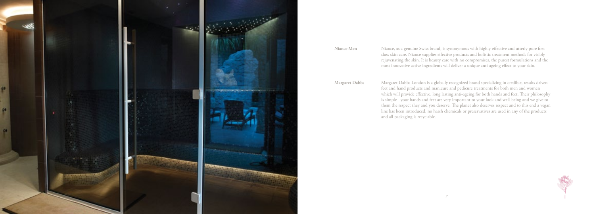Niance, as a genuine Swiss brand, is synonymous with highly-effective and utterly pure first class skin care. Niance supplies effective products and holistic treatment methods for visibly rejuvenating the skin. It is beauty care with no compromises, the purest formulations and the most innovative active ingredients will deliver a unique anti-ageing effect to your skin.

Margaret Dabbs London is a globally recognized brand specializing in credible, results driven feet and hand products and manicure and pedicure treatments for both men and women which will provide effective, long lasting anti-ageing for both hands and feet. Their philosophy is simple - your hands and feet are very important to your look and well-being and we give to them the respect they and you deserve. The planet also deserves respect and to this end a vegan line has been introduced, no harsh chemicals or preservatives are used in any of the products and all packaging is recyclable.



### **Niance Men**

**Margaret Dabbs**

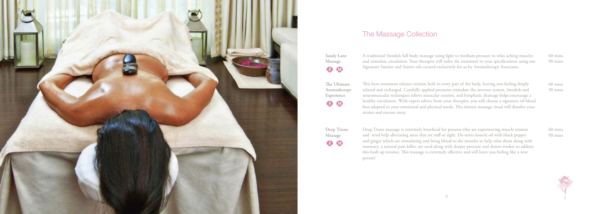

# The Massage Collection

A traditional Swedish full body massage using light to medium pressure to relax aching muscles and stimulate circulation. Your therapist will tailor the treatment to your specifications using our Signature Sunrise and Sunset oils created exclusively for us by Aromatherapy Associates.

This hero treatment releases tension held in every part of the body, leaving you feeling deeply relaxed and recharged. Carefully applied pressures stimulate the nervous system, Swedish and neuromuscular techniques relieve muscular tension, and lymphatic drainage helps encourage a healthy circulation. With expert advice from your therapist, you will choose a signature oil blend best adapted to your emotional and physical needs. This intense massage ritual will dissolve your strains and stresses away.

**Sandy Lane Massage** BM

**The Ultimate Aromatherapy Experience** BO

**Deep Tissue Massage B** 

Deep Tissue massage is extremely beneficial for persons who are experiencing muscle tension and need help alleviating areas that are stiff or tight. De-stress muscle oil with black pepper and ginger which are stimulating and bring blood to the muscles to help relax them along with rosemary, a natural pain killer, are used along with deeper pressure and slower strokes to address this built up tension. This massage is extremely effective and will leave you feeling like a new person!

60 mins 90 mins

60 mins 90 mins

60 mins 90 mins

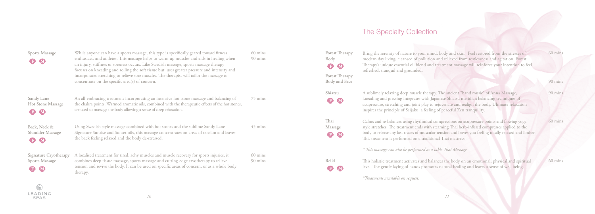While anyone can have a sports massage, this type is specifically geared toward fitness enthusiasts and athletes. This massage helps to warm up muscles and aids in healing when an injury, stiffness or soreness occurs. Like Swedish massage, sports massage therapy focuses on kneading and rolling the soft tissue but uses greater pressure and intensity and incorporates stretching to relieve sore muscles. The therapist will tailor the massage to concentrate on the specific area(s) of concern.

An all-embracing treatment incorporating an intensive hot stone massage and balancing of the chakra points. Warmed aromatic oils, combined with the therapeutic effects of the hot stones, are used to massage the body allowing a sense of deep relaxation.

### **Sports Massage DO**

**Sandy Lane Hot Stone Massage** F M

**Back, Neck & Shoulder Massage** F M

**Signature Cryotherapy Sports Massage B** M

Using Swedish style massage combined with hot stones and the sublime Sandy Lane Signature Sunrise and Sunset oils, this massage concentrates on areas of tension and leaves the back feeling relaxed and the body de-stressed.

A localised treatment for tired, achy muscles and muscle recovery for sports injuries, it combines deep tissue massage, sports massage and cutting-edge cryotherapy to relieve tension and revive the body. It can be used on specific areas of concern, or as a whole body therapy.

60 mins 90 mins

75 mins

45 mins

**Shiatsu** F M

**Thai Massage B** M

60 mins 90 mins

# The Specialty Collection

Bring the serenity of nature to your mind, body and skin. Feel restored from the stresses of modern day living, cleansed of pollution and relieved from restlessness and agitation. Forest Therapy's unique essential oil blend and treatment massage will reinforce your intention to feel refreshed, tranquil and grounded.

A sublimely relaxing deep muscle therapy. The ancient "hand music" of Anna Massage, kneading and pressing integrates with Japanese Shiatsu meridian balancing techniques of acupressure, stretching and joint play to rejuvenate and realign the body. Ultimate relaxation inspires the principle of Seijaku, a feeling of peaceful Zen tranquility.

Calms and re-balances using rhythmical compressions on acupressure points and flowing yoga style stretches. The treatment ends with steaming Thai herb-infused compresses applied to the body to release any last traces of muscular tension and leaves you feeling totally relaxed and limber. This treatment is performed on a traditional Thai mattress.

*\* This massage can also be performed as a table Thai Massage.*

This holistic treatment activates and balances the body on an emotional, physical and spiritual level. The gentle laying of hands promotes natural healing and leaves a sense of well being.

*\*Treatments available on request.*

 $\odot$ **LEADING** SPAS

**Forest Therapy Body B** M **Forest Therapy Body and Face**

**Reiki**

F M

60 mins

90 mins

90 mins

60 mins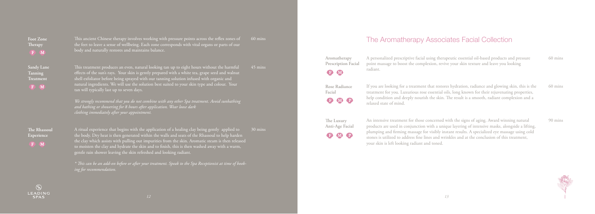This ancient Chinese therapy involves working with pressure points across the reflex zones of the feet to leave a sense of wellbeing. Each zone corresponds with vital organs or parts of our

body and naturally restores and maintains balance.

tan will typically last up to seven days.

This treatment produces an even, natural looking tan up to eight hours without the harmful effects of the sun's rays. Your skin is gently prepared with a white tea, grape seed and walnut  $\frac{1}{3}$  shell exfoliator before being sprayed with our tanning solution infused with organic and natural ingredients. We will use the solution best suited to your skin type and colour. Your

*We strongly recommend that you do not combine with any other Spa treatment. Avoid sunbathing* 

*and bathing or showering for 8 hours after application. Wear loose dark* 

*clothing immediately after your appointment.* 

A ritual experience that begins with the application of a healing clay being gently applied to the body. Dry heat is then generated within the walls and seats of the Rhassoul to help harden the clay which assists with pulling out impurities from the skin. Aromatic steam is then released to moisten the clay and hydrate the skin and to finish, this is then washed away with a warm,

**Aromatherapy Prescription Facial** radiant. F M

**The Luxury Anti-Age Facial** BOD

| the body. Dry heat is then generated within the walls and seats of the Rhassoul to help harden         |  |
|--------------------------------------------------------------------------------------------------------|--|
| the clay which assists with pulling out impurities from the skin. Aromatic steam is then released      |  |
| to moisten the clay and hydrate the skin and to finish, this is then washed away with a warm,          |  |
| gentle rain shower leaving the skin refreshed and looking radiant.                                     |  |
|                                                                                                        |  |
| * This can be an add-on before or after your treatment. Speak to the Spa Receptionist at time of book- |  |
| ing for recommendation.                                                                                |  |
|                                                                                                        |  |
|                                                                                                        |  |

**Foot Zone Therapy**

**Sandy Lane Tanning Treatment**

**The Rhassoul Experience**

60 mins

45 mins

30 mins

If you are looking for a treatment that restores hydration, radiance and glowing skin, this is the treatment for you. Luxurious rose essential oils, long known for their rejuvenating properties, help condition and deeply nourish the skin. The result is a smooth, radiant complexion and a relaxed state of mind.

A personalized prescriptive facial using therapeutic essential oil-based products and pressure point massage to boost the complexion, revive your skin texture and leave you looking 60 mins

An intensive treatment for those concerned with the signs of aging. Award winning natural products are used in conjunction with a unique layering of intensive masks, alongside a lifting, plumping and firming massage for visibly instant results. A specialized eye massage using cold stones is utilized to address fine lines and wrinkles and at the conclusion of this treatment, your skin is left looking radiant and toned.

**Rose Radiance Facial**

**BOO** 

60 mins

90 mins



The Aromatherapy Associates Facial Collection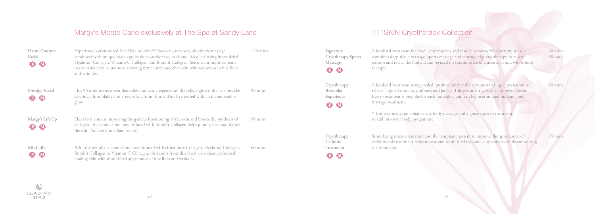Experience a customized facial like no other! Discover a new way of esthetic massage combined with unique mask applications on the face, neck and décolleté using freeze dried Hyaluron Collagen, Vitamin C Collagen and Botolift Collagen. See instant improvements in the skin's texture and tone showing firmer and smoother skin with reduction in fine lines and wrinkles.

This 90 minute treatment detoxifies and vastly regenerates the cells, tightens the face muscles creating a formidable anti-stress effect. Your skin will look refreshed with an incomparable glow.

**Prestige Facial B** M

**Margy's Lift Up** B M

**Mini Lift** B M This facial aims at improving the general functioning of the skin and boosts the synthesis of collagen. A coconut fibre mask infused with Botolift Collagen helps plump, firm and tighten the skin. You see immediate results!

With the use of a coconut fibre mask infused with either pure Collagen, Hyaluron Collagen, Botolift Collagen or Vitamin C Collagen, the results from this facial are radiant, refreshed looking skin with diminished appearance of fine lines and wrinkles.

**Signature Cryotherapy Sports Massage B** M

| <b>Haute Couture</b> |  |
|----------------------|--|
| Facial               |  |
| B M                  |  |

**Cryotherapy Brespoke Experience**  B M

120 mins

90 mins

90 mins

60 mins

# Margy's Monte Carlo exclusively at The Spa at Sandy Lane

A localised treatment for tired, achy muscles and muscle recovery for sports injuries, it combines deep tissue massage, sports massage and cutting-edge cryotherapy to relieve tension and revive the body. It can be used on specific areas of concern, or as a whole body therapy.

A localised treatment using cooled, purified air that delivers outstanding rejuvenation to relieve fatigued muscles, puffiness and jet lag. This treatment gives instant revitalisation. Every treatment is bespoke for each individual and can be incorporated into any body massage treatment.

\* This treatment can enhance any body massage and a great targeted treatment to add into your body programme.

Stimulating microcirculation and the lymphatic system to improve the appearance of cellulite, this treatment helps to ease and sooth tired legs and achy muscles while contouring the silhouette. 75 mins

**Cryotherapy Cellulite Treatment** 

B M

60 mins 90 mins

30 mins

## 111SKIN Cryotherapy Collection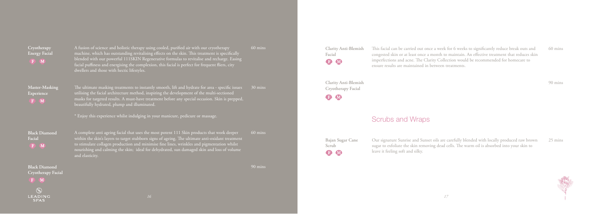$\mathbb{Q}$ 

A fusion of science and holistic therapy using cooled, purified air with our cryotherapy machine, which has outstanding revitalising effects on the skin. This treatment is specifically blended with our powerful 111SKIN Regenerative formulas to revitalise and recharge. Easing facial puffiness and energising the complexion, this facial is perfect for frequent fliers, city

dwellers and those with hectic lifestyles.

utilising the facial architecture method, inspiring the development of the multi-sectioned masks for targeted results. A must-have treatment before any special occasion. Skin is prepped,

beautifully hydrated, plump and illuminated.

\* Enjoy this experience whilst indulging in your manicure, pedicure or massage.

The ultimate masking treatments to instantly smooth, lift and hydrate for area - specific issues 30 mins

**Clarity Anti-Blemish Facial BM** 

**Clarity Anti-Blemish Cryotherapy Facial B** M

A complete anti ageing facial that uses the most potent 111 Skin products that work deeper within the skin's layers to target stubborn signs of ageing. The ultimate anti-oxidant treatment to stimulate collagen production and minimise fine lines, wrinkles and pigmentation whilst nourishing and calming the skin; ideal for dehydrated, sun damaged skin and loss of volume and elasticity.

**Cryotherapy Energy Facial**

**Master-Masking Experience** 

**Black Diamond**

**Facial**

**Black Diamond Cryotherapy Facial** 60 mins

60 mins

90 mins

This facial can be carried out once a week for 6 weeks to significantly reduce break outs and congested skin or at least once a month to maintain. An effective treatment that reduces skin imperfections and acne. The Clarity Collection would be recommended for homecare to ensure results are maintained in between treatments.

# Scrubs and Wraps

Our signature Sunrise and Sunset oils are carefully blended with locally produced raw brown sugar to exfoliate the skin removing dead cells. The warm oil is absorbed into your skin to

leave it feeling soft and silky. **Bajan Sugar Cane**

**Scrub**

B M

60 mins

90 mins

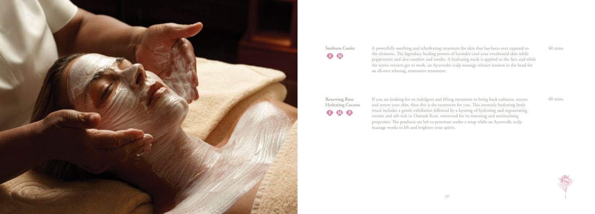A powerfully soothing and rehydrating treatment for skin that has been over exposed to the elements. The legendary healing powers of lavender cool your overheated skin while peppermint and aloe comfort and soothe. A hydrating mask is applied to the face and while the active extracts get to work, an Ayurvedic scalp massage releases tension in the head for an all-over relaxing, restorative treatment.



**Sunburn Cooler B** 

**Renewing Rose Hydrating Cocoon** 8 M B

If you are looking for an indulgent and lifting treatment to bring back radiance, restore and renew your skin, then this is the treatment for you. This intensely hydrating body ritual includes a gentle exfoliation followed by a layering of hydrating and regenerating creams and oils rich in Damask Rose, renowned for its renewing and moisturizing properties. The products are left to penetrate under a wrap while an Ayurvedic scalp massage works to lift and brighten your spirits.

60 mins

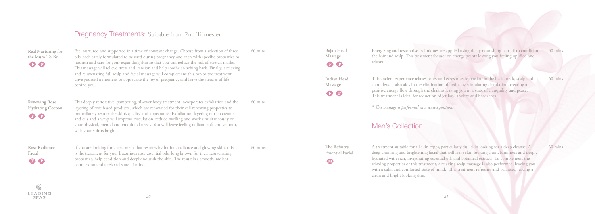Feel nurtured and supported in a time of constant change. Choose from a selection of three oils, each safely formulated to be used during pregnancy and each with specific properties to nourish and care for your expanding skin so that you can reduce the risk of stretch marks. This massage will relieve stress and tension and help soothe an aching back. Finally, a relaxing and rejuvenating full scalp and facial massage will complement this top to toe treatment. Give yourself a moment to appreciate the joy of pregnancy and leave the stresses of life behind you.

**Real Nurturing for the Mum-To-Be BO** 

**Renewing Rose Hydrating Cocoon B**O

**Rose Radiance Facial D** 

This deeply restorative, pampering, all-over body treatment incorporates exfoliation and the layering of rose based products, which are renowned for their cell renewing properties to immediately restore the skin's quality and appearance. Exfoliation, layering of rich creams and oils and a wrap will improve circulation, reduce swelling and work simultaneously on your physical, mental and emotional needs. You will leave feeling radiant, soft and smooth, with your spirits bright.

If you are looking for a treatment that restores hydration, radiance and glowing skin, this is the treatment for you. Luxurious rose essential oils, long known for their rejuvenating properties, help condition and deeply nourish the skin. The result is a smooth, radiant complexion and a relaxed state of mind.

**Bajan Head Massage B** 

60 mins

60 mins

60 mins

### Pregnancy Treatments: Suitable from 2nd Trimester

Energizing and restorative techniques are applied using richly nourishing hair oil to condition the hair and scalp. This treatment focuses on energy points leaving you feeling uplifted and relaxed.

This ancient experience relaxes tones and eases muscle tension in the back, neck, scalp and shoulders. It also aids in the elimination of toxins by stimulating circulation, creating a positive energy flow through the chakras leaving you in a state of tranquility and peace. This treatment is ideal for reduction of jet lag, anxiety and headaches.

*\* This massage is performed in a seated position.*

# Men's Collection

A treatment suitable for all skin types, particularly dull skin looking for a deep cleanse. A deep cleansing and brightening facial that will leave skin looking clean, luminous and deeply hydrated with rich, invigorating essential oils and botanical extracts. To complement the relaxing properties of this treatment, a relaxing scalp massage is also performed, leaving you with a calm and comforted state of mind. This treatment refreshes and balances, leaving a clean and bright looking skin.

**Indian Head Massage** 

**B** 

**The Refinery Essential Facial** 

M

30 mins

60 mins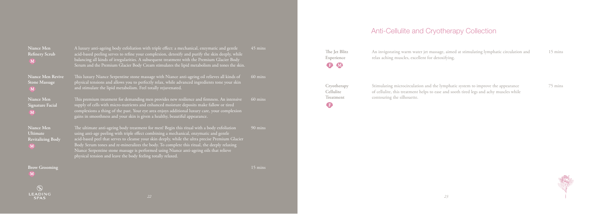| Niance Men<br><b>Refinery Scrub</b><br>M                | A luxury anti-ageing body exfoliation with triple effect: a mechanical, enzymatic and gentle<br>acid-based peeling serves to refine your complexion, detoxify and purify the skin deeply, while<br>balancing all kinds of irregularities. A subsequent treatment with the Premium Glacier Body<br>Serum and the Premium Glacier Body Cream stimulates the lipid metabolism and tones the skin.                                                                                                                                                    | 45 mins           |
|---------------------------------------------------------|---------------------------------------------------------------------------------------------------------------------------------------------------------------------------------------------------------------------------------------------------------------------------------------------------------------------------------------------------------------------------------------------------------------------------------------------------------------------------------------------------------------------------------------------------|-------------------|
| Niance Men Revive<br><b>Stone Massage</b><br>M          | This luxury Niance Serpentine stone massage with Niance anti-ageing oil relieves all kinds of<br>physical tensions and allows you to perfectly relax, while advanced ingredients tone your skin<br>and stimulate the lipid metabolism. Feel totally rejuvenated.                                                                                                                                                                                                                                                                                  | 60 mins           |
| Niance Men<br><b>Signature Facial</b><br>M              | This premium treatment for demanding men provides new resilience and firmness. An intensive<br>supply of cells with micro-nutrients and enhanced moisture deposits make fallow or tired<br>complexions a thing of the past. Your eye area enjoys additional luxury care, your complexion<br>gains in smoothness and your skin is given a healthy, beautiful appearance.                                                                                                                                                                           | 60 mins           |
| Niance Men<br>Ultimate<br><b>Revitalizing Body</b><br>M | The ultimate anti-ageing body treatment for men! Begin this ritual with a body exfoliation<br>using anti-age peeling with triple effect combining a mechanical, enzymatic and gentle<br>acid-based peel that serves to cleanse your skin deeply, while the ultra precise Premium Glacier<br>Body Serum tones and re-mineralizes the body. To complete this ritual, the deeply relaxing<br>Niance Serpentine stone massage is performed using Niance anti-ageing oils that relieve<br>physical tension and leave the body feeling totally relaxed. | 90 mins           |
| <b>Brow Grooming</b><br>$\mathbf{A}$                    |                                                                                                                                                                                                                                                                                                                                                                                                                                                                                                                                                   | $15 \text{ mins}$ |

**The Jet Blitz Experience** OO

**Cryotherapy Cellulite Treatment**  $\bullet$ 

relax aching muscles, excellent for detoxifying.

An invigorating warm water jet massage, aimed at stimulating lymphatic circulation and 15 mins

Stimulating microcirculation and the lymphatic system to improve the appearance of cellulite, this treatment helps to ease and sooth tired legs and achy muscles while contouring the silhouette.

75 mins



# Anti-Cellulite and Cryotherapy Collection

*23*

 $\circledS$ LEADING **SPAS**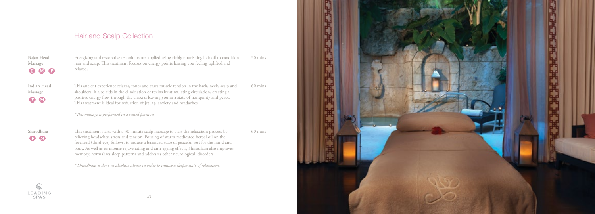Energizing and restorative techniques are applied using richly nourishing hair oil to condition hair and scalp. This treatment focuses on energy points leaving you feeling uplifted and relaxed.

This ancient experience relaxes, tones and eases muscle tension in the back, neck, scalp and shoulders. It also aids in the elimination of toxins by stimulating circulation, creating a positive energy flow through the chakras leaving you in a state of tranquility and peace. This treatment is ideal for reduction of jet lag, anxiety and headaches.

**Bajan Head Massage** BMP

*\*This massage is performed in a seated position.*

**Indian Head Massage** BM

**Shirodhara D** M

 $\odot$ LEADING SPAS

This treatment starts with a 30 minute scalp massage to start the relaxation process by relieving headaches, stress and tension. Pouring of warm medicated herbal oil on the forehead (third eye) follows, to induce a balanced state of peaceful rest for the mind and body. As well as its intense rejuvenating and anti-ageing effects, Shirodhara also improves memory, normalizes sleep patterns and addresses other neurological disorders.

*\* Shirodhara is done in absolute silence in order to induce a deeper state of relaxation.*



30 mins

60 mins

60 mins

# Hair and Scalp Collection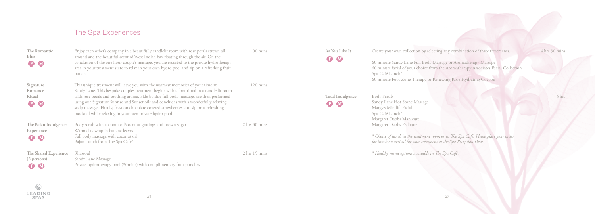| The Romantic<br><b>Bliss</b><br><b>B</b> M                   | Enjoy each other's company in a beautifully candlelit room with rose petals strewn all<br>around and the beautiful scent of West Indian bay floating through the air. On the<br>conclusion of the one hour couple's massage, you are escorted to the private hydrotherapy<br>area in your treatment suite to relax in your own hydro pool and sip on a refreshing fruit<br>punch.                                                                                                                                     | 90 mins            | As You Like It<br><b>B</b> M  | Create your own collection by selecting any combination of three treatments.<br>60 minute Sandy Lane Full Body Massage or Aromatherapy Massage<br>60 minute facial of your choice from the Aromatherapy Associates Facial Collection<br>Spa Café Lunch*<br>60 minute Foot Zone Therapy or Renewing Rose Hydrating Cocoon |
|--------------------------------------------------------------|-----------------------------------------------------------------------------------------------------------------------------------------------------------------------------------------------------------------------------------------------------------------------------------------------------------------------------------------------------------------------------------------------------------------------------------------------------------------------------------------------------------------------|--------------------|-------------------------------|--------------------------------------------------------------------------------------------------------------------------------------------------------------------------------------------------------------------------------------------------------------------------------------------------------------------------|
| Signature<br>Romance<br>Ritual<br><b>B</b> M                 | This unique treatment will leave you with the warmest memories of your time at<br>Sandy Lane. This bespoke couples treatment begins with a foot ritual in a candle lit room<br>with rose petals and soothing aroma. Side by side full body massages are then performed<br>using our Signature Sunrise and Sunset oils and concludes with a wonderfully relaxing<br>scalp massage. Finally, feast on chocolate covered strawberries and sip on a refreshing<br>mocktail while relaxing in your own private hydro pool. | $120 \text{ mins}$ | Total Indulgence<br><b>BM</b> | Body Scrub<br>Sandy Lane Hot Stone Massage<br>Margy's Minilift Facial<br>Spa Café Lunch*<br>Margaret Dabbs Manicure                                                                                                                                                                                                      |
| The Bajan Indulgence<br>Experience<br><b>B</b> W             | Body scrub with coconut oil/coconut gratings and brown sugar<br>Warm clay wrap in banana leaves<br>Full body massage with coconut oil<br>Bajan Lunch from The Spa Café*                                                                                                                                                                                                                                                                                                                                               | $2$ hrs $30$ mins  |                               | Margaret Dabbs Pedicure<br>* Choice of lunch in the treatment room or in The Spa Café. Please place your order<br>for lunch on arrival for your treatment at the Spa Reception Desk.                                                                                                                                     |
| The Shared Experience<br>$(2 \text{ persons})$<br><b>D</b> M | Rhassoul<br>Sandy Lane Massage<br>Private hydrotherapy pool (30mins) with complimentary fruit punches                                                                                                                                                                                                                                                                                                                                                                                                                 | $2$ hrs $15$ mins  |                               | * Healthy menu options available in The Spa Café.                                                                                                                                                                                                                                                                        |

# The Spa Experiences

4 hrs 30 mins

6 hrs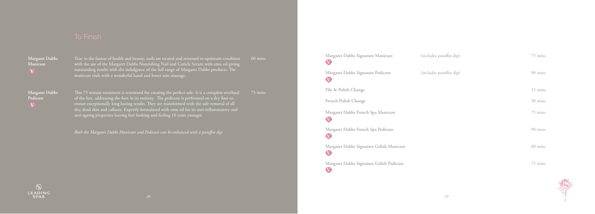This 75 minute treatment is renowned for creating the perfect sole. It is a complete overhaul of the feet, addressing the foot in its entirety. The pedicure is performed on a dry foot to ensure exceptionally long lasting results. They are transformed with the safe removal of all anti-ageing properties leaving feet looking and feeling 10 years younger.

*Both the Margaret Dabbs Manicure and Pedicure can be enhanced with a paraffin dip.* 

 $\odot$ **LEADING SPAS** 

**Margaret Dabbs Manicure V**

True to the fusion of health and beauty, nails are treated and returned to optimum condition with the use of the Margaret Dabbs Nourishing Nail and Cuticle Serum with emu oil giving  $^\prime$  outstanding results with the indulgence of the full range of Margaret Dabbs products. The  $_\parallel$ manicure ends with a wonderful hand and lower arm massage.

 $60$  mins

**Margaret Dabbs Pedicure V**

75 mins

(includes paraffin dip)

(includes paraffin dip)

**Margaret Dabbs Signature Manicure**

**Margaret Dabbs Signature Pedicure File & Polish Change French Polish Change**

**Margaret Dabbs French Spa Manicure V**

**Margaret Dabbs French Spa Pedicure V**

**Margaret Dabbs Signature Gelish Manicure V**

### 75 mins

90 mins

15 mins

**Margaret Dabbs Signature Gelish Pedicure V**

30 mins

75 mins

90 mins

60 mins

75 mins



**V**

**V**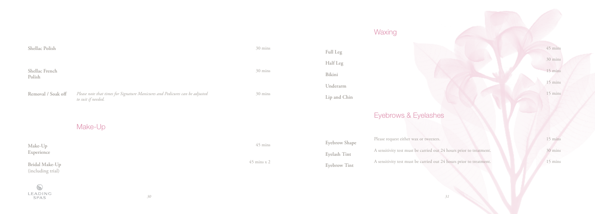# **Waxing**

| Shellac Polish                      |                                                                                                    |
|-------------------------------------|----------------------------------------------------------------------------------------------------|
| Shellac French<br>Polish            |                                                                                                    |
| Removal / Soak off                  | Please note that times for Signature Manicures and Pedicures can be adjusted<br>to suit if needed. |
|                                     | Make-Up                                                                                            |
| Make-Up<br>Experience               |                                                                                                    |
| Bridal Make-Up<br>(including trial) |                                                                                                    |
| LEADING<br><b>SPAS</b>              | 30                                                                                                 |

# 30 mins 30 mins

30 mins

45 mins

45 mins x 2

# Eyebrows & Eyelashes

Please request either wax or tweezers. A sensitivity test must be carried out 24 hours prior to treatment. A sensitivity test must be carried out 24 hours prior to treatment.

# **Full Leg Half Leg Bikini Underarm Lip and Chin**

**Eyebrow Shape Eyelash Tint Eyebrow Tint**

45 mins

30 mins

15 mins

15 mins

15 mins

15 mins

30 mins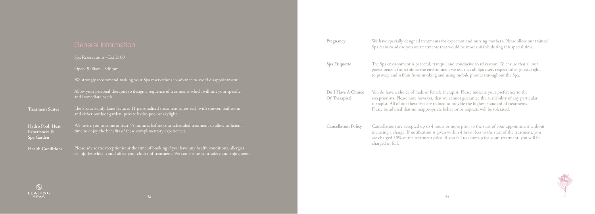|                                                 | Spa Reservations - Ext 2100                                                                                                                                                                              |
|-------------------------------------------------|----------------------------------------------------------------------------------------------------------------------------------------------------------------------------------------------------------|
|                                                 | Open: 9:00am - 8:00pm                                                                                                                                                                                    |
|                                                 | We strongly recommend making your Spa reservations in advance to avoid disappointment.                                                                                                                   |
|                                                 | Allow your personal therapist to design a sequence of treatments which will suit your specific<br>and immediate needs.                                                                                   |
| <b>Treatment Suites</b>                         | The Spa at Sandy Lane features 11 personalised treatment suites each with shower, bathroom<br>and either outdoor garden, private hydro pool or skylight.                                                 |
| Hydro Pool, Heat<br>Experiences &<br>Spa Garden | We invite you to come at least 45 minutes before your scheduled treatment to allow sufficient<br>time to enjoy the benefits of these complimentary experiences.                                          |
| <b>Health Conditions</b>                        | Please advise the receptionist at the time of booking if you have any health conditions, allergies,<br>or injuries which could affect vour choice of treatment. We can ensure vour safety and enjoyment. |

lease indicate your preference to the receptionists. Please note however, that we cannot guarantee the availability of any particular therapist. All of our therapists are trained to provide the highest standard of treatments. Please be advised that no inappropriate behavior or requests will be tolerated.

| Pregnancy                           | We have specially designed treatments for expectant<br>Spa team to advise you on treatments that would be                                                     |
|-------------------------------------|---------------------------------------------------------------------------------------------------------------------------------------------------------------|
| Spa Etiquette                       | The Spa environment is peaceful, tranquil and cond<br>guests benefit from this serene environment we ask<br>to privacy and refrain from smoking and using mob |
| Do I Have A Choice<br>Of Therapist? | You do have a choice of male or female therapist. Pl<br>receptionists. Please note however, that we cannot g                                                  |

Cancellations are accepted up to 4 hours or more prior to the start of your appointment without incurring a charge. If notification is given within 4 hrs or less to the start of the treatment, you are charged 50% of the treatment price. If you fail to show up for your treatment, you will be charged in full.

**Cancellation Policy**

and nursing mothers. Please allow our trained most suitable during this special time.

ducive to relaxation. To ensure that all our that all Spa users respect other guests rights bile phones throughout the Spa.

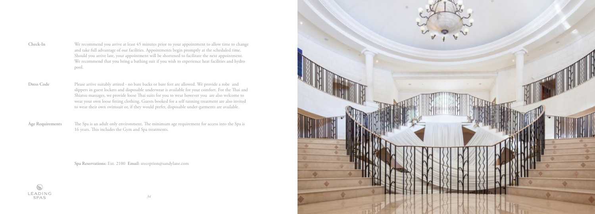- We recommend you arrive at least 45 minutes prior to your appointment to allow time to change and take full advantage of our facilities. Appointments begin promptly at the scheduled time. Should you arrive late, your appointment will be shortened to facilitate the next appointment. We recommend that you bring a bathing suit if you wish to experience heat facilities and hydro pool. **Check-In**
- Please arrive suitably attired no bare backs or bare feet are allowed. We provide a robe and slippers in guest lockers and disposable underwear is available for your comfort. For the Thai and Shiatsu massages, we provide loose Thai suits for you to wear however you are also welcome to wear your own loose fitting clothing. Guests booked for a self tanning treatment are also invited to wear their own swimsuit or, if they would prefer, disposable under-garments are available. **Dress Code**
- The Spa is an adult only environment. The minimum age requirement for access into the Spa is 16 years. This includes the Gym and Spa treatments. **Age Requirements**

**Spa Reservations:** Ext. 2100 **Email:** sreception@sandylane.com





*34*